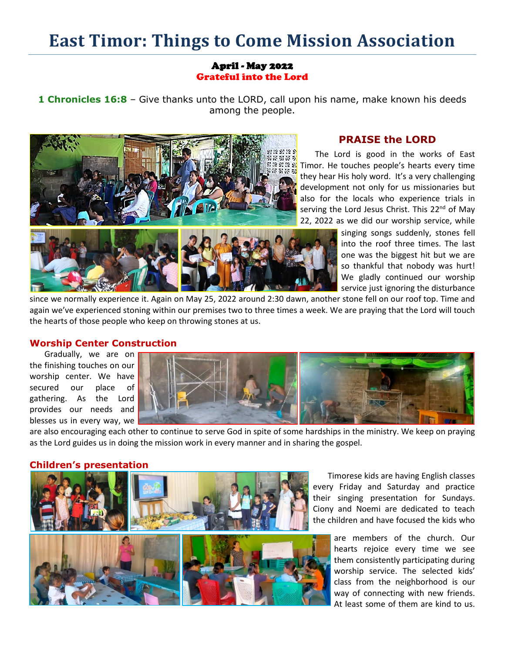# **East Timor: Things to Come Mission Association**

## April - May 2022 Grateful into the Lord

**1 Chronicles 16:8** – Give thanks unto the LORD, call upon his name, make known his deeds among the people.



# **PRAISE the LORD**

The Lord is good in the works of East Timor. He touches people's hearts every time they hear His holy word. It's a very challenging development not only for us missionaries but also for the locals who experience trials in serving the Lord Jesus Christ. This 22<sup>nd</sup> of May 22, 2022 as we did our worship service, while

> singing songs suddenly, stones fell into the roof three times. The last one was the biggest hit but we are so thankful that nobody was hurt! We gladly continued our worship service just ignoring the disturbance

since we normally experience it. Again on May 25, 2022 around 2:30 dawn, another stone fell on our roof top. Time and again we've experienced stoning within our premises two to three times a week. We are praying that the Lord will touch the hearts of those people who keep on throwing stones at us.

## **Worship Center Construction**

Gradually, we are on the finishing touches on our worship center. We have secured our place of gathering. As the Lord provides our needs and blesses us in every way, we



are also encouraging each other to continue to serve God in spite of some hardships in the ministry. We keep on praying as the Lord guides us in doing the mission work in every manner and in sharing the gospel.

#### **Children's presentation**



Timorese kids are having English classes every Friday and Saturday and practice their singing presentation for Sundays. Ciony and Noemi are dedicated to teach the children and have focused the kids who

> are members of the church. Our hearts rejoice every time we see them consistently participating during worship service. The selected kids' class from the neighborhood is our way of connecting with new friends. At least some of them are kind to us.

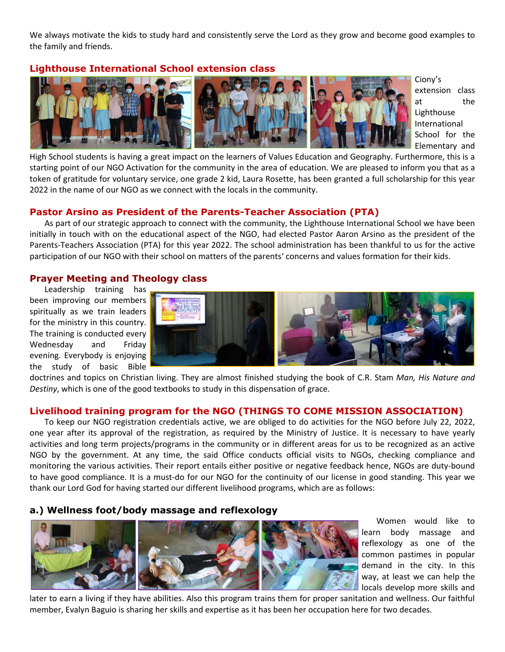We always motivate the kids to study hard and consistently serve the Lord as they grow and become good examples to the family and friends.

# **Lighthouse International School extension class**



Ciony's extension class at the Lighthouse International School for the Elementary and

High School students is having a great impact on the learners of Values Education and Geography. Furthermore, this is a starting point of our NGO Activation for the community in the area of education. We are pleased to inform you that as a token of gratitude for voluntary service, one grade 2 kid, Laura Rosette, has been granted a full scholarship for this year 2022 in the name of our NGO as we connect with the locals in the community.

# **Pastor Arsino as President of the Parents-Teacher Association (PTA)**

As part of our strategic approach to connect with the community, the Lighthouse International School we have been initially in touch with on the educational aspect of the NGO, had elected Pastor Aaron Arsino as the president of the Parents-Teachers Association (PTA) for this year 2022. The school administration has been thankful to us for the active participation of our NGO with their school on matters of the parents' concerns and values formation for their kids.

# **Prayer Meeting and Theology class**

Leadership training has been improving our members spiritually as we train leaders for the ministry in this country. The training is conducted every Wednesday and Friday evening. Everybody is enjoying the study of basic Bible



doctrines and topics on Christian living. They are almost finished studying the book of C.R. Stam *Man, His Nature and Destiny*, which is one of the good textbooks to study in this dispensation of grace.

## **Livelihood training program for the NGO (THINGS TO COME MISSION ASSOCIATION)**

To keep our NGO registration credentials active, we are obliged to do activities for the NGO before July 22, 2022, one year after its approval of the registration, as required by the Ministry of Justice. It is necessary to have yearly activities and long term projects/programs in the community or in different areas for us to be recognized as an active NGO by the government. At any time, the said Office conducts official visits to NGOs, checking compliance and monitoring the various activities. Their report entails either positive or negative feedback hence, NGOs are duty-bound to have good compliance. It is a must-do for our NGO for the continuity of our license in good standing. This year we thank our Lord God for having started our different livelihood programs, which are as follows:

## **a.) Wellness foot/body massage and reflexology**



Women would like to learn body massage and reflexology as one of the common pastimes in popular demand in the city. In this way, at least we can help the locals develop more skills and

later to earn a living if they have abilities. Also this program trains them for proper sanitation and wellness. Our faithful member, Evalyn Baguio is sharing her skills and expertise as it has been her occupation here for two decades.